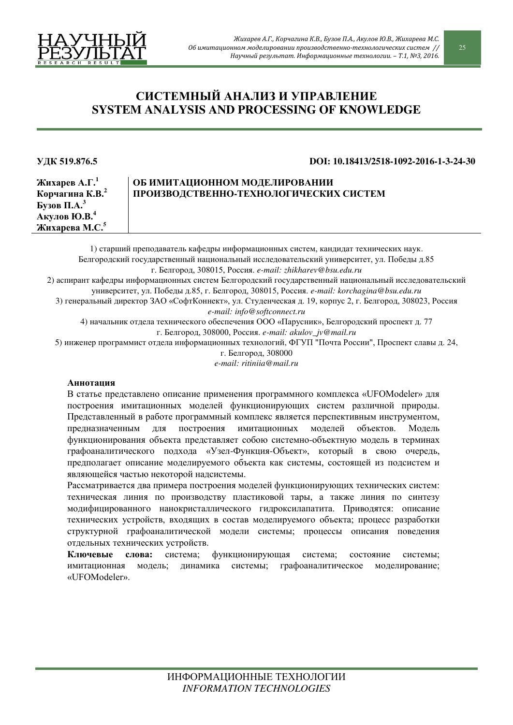

# СИСТЕМНЫЙ АНАЛИЗ И УПРАВЛЕНИЕ **SYSTEM ANALYSIS AND PROCESSING OF KNOWLEDGE**

#### **ɍȾɄ 519.876.5 DOI: 10.18413/2518-1092-2016-1-3-24-30**

**ɀɢɯɚɪɟɜ Ⱥ.Ƚ. 1 Корчагина К.В.**<sup>2</sup>  $\sum$  Бузов П.А.<sup>3</sup> Акулов Ю.В.<sup>4</sup> **ɀɢɯɚɪɟɜɚ Ɇ.ɋ.<sup>5</sup>**

# ОБ ИМИТАЦИОННОМ МОДЕЛИРОВАНИИ ПРОИЗВОДСТВЕННО-ТЕХНОЛОГИЧЕСКИХ СИСТЕМ

1) старший преподаватель кафедры информационных систем, кандидат технических наук. Белгородский государственный национальный исследовательский университет, ул. Победы д.85 г. Белгород. 308015, Россия, e-mail: zhikharev@bsu.edu.ru 2) аспирант кафелры информационных систем Белгоролский госуларственный национальный исслеловательский ɭɧɢɜɟɪɫɢɬɟɬ, ɭɥ. ɉɨɛɟɞɵ ɞ.85, ɝ. Ȼɟɥɝɨɪɨɞ, 308015, Ɋɨɫɫɢɹ. *e-mail: korchagina@bsu.edu.ru* 3) генеральный директор ЗАО «СофтКоннект», ул. Студенческая д. 19, корпус 2, г. Белгород, 308023, Россия *e-mail[: info@softconnect.ru](http://softconnect.ru/)*  4) начальник отдела технического обеспечения ООО «Парусник», Белгородский проспект д. 77 г. Белгород, 308000, Россия. e-mail: akulov\_jv@mail.ru

5) инженер программист отдела информационных технологий, ФГУП "Почта России", Проспект славы д. 24,

г. Белгород, 308000

*e-mail: ritiniia@mail.ru* 

## **Аннотания**

В статье представлено описание применения программного комплекса «UFOModeler» для построения имитационных моделей функционирующих систем различной природы. Представленный в работе программный комплекс является перспективным инструментом, предназначенным для построения имитационных моделей объектов. Модель функционирования объекта представляет собою системно-объектную модель в терминах графоаналитического подхода «Узел-Функция-Объект», который в свою очередь, предполагает описание моделируемого объекта как системы, состоящей из подсистем и являющейся частью некоторой надсистемы.

Рассматривается два примера построения моделей функционирующих технических систем: техническая линия по производству пластиковой тары, а также линия по синтезу модифицированного нанокристаллического гидроксилапатита. Приводятся: описание технических устройств, входящих в состав моделируемого объекта; процесс разработки структурной графоаналитической модели системы; процессы описания поведения отдельных технических устройств.

Ключевые слова: система; функционирующая система; состояние системы; имитационная модель; динамика системы; графоаналитическое моделирование; «UFOModeler».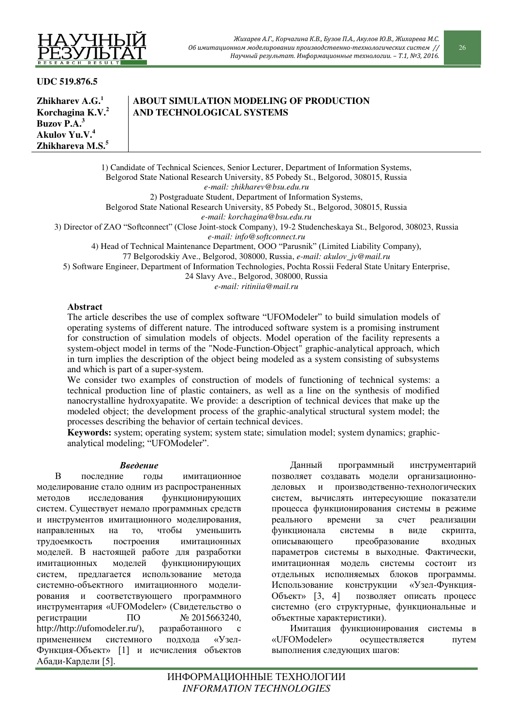

**UDC 519.876.5** 

**Zhikharev A.G.<sup>1</sup> Korchagina K.V.<sup>2</sup> Buzov P.A.<sup>3</sup> Akulov Yu.V.<sup>4</sup> Zhikhareva M.S.<sup>5</sup>**

# **ABOUT SIMULATION MODELING OF PRODUCTION AND TECHNOLOGICAL SYSTEMS**

1) Candidate of Technical Sciences, Senior Lecturer, Department of Information Systems, Belgorod State National Research University, 85 Pobedy St., Belgorod, 308015, Russia *e-mail: zhikharev@bsu.edu.ru*  2) Postgraduate Student, Department of Information Systems, Belgorod State National Research University, 85 Pobedy St., Belgorod, 308015, Russia *e-mail: korchagina@bsu.edu.ru* 

3) Director of ZAO "Softconnect" (Close Joint-stock Company), 19-2 Studencheskaya St., Belgorod, 308023, Russia *e-mail[: info@softconnect.ru](http://softconnect.ru/)* 

4) Head of Technical Maintenance Department, OOO "Parusnik" (Limited Liability Company),

77 Belgorodskiy Ave., Belgorod, 308000, Russia, *e-mail: akulov\_jv@mail.ru* 

5) Software Engineer, Department of Information Technologies, Pochta Rossii Federal State Unitary Enterprise,

24 Slavy Ave., Belgorod, 308000, Russia

*e-mail: ritiniia@mail.ru* 

## Abstract

The article describes the use of complex software "UFOModeler" to build simulation models of operating systems of different nature. The introduced software system is a promising instrument for construction of simulation models of objects. Model operation of the facility represents a system-object model in terms of the "Node-Function-Object" graphic-analytical approach, which in turn implies the description of the object being modeled as a system consisting of subsystems and which is part of a super-system.

We consider two examples of construction of models of functioning of technical systems: a technical production line of plastic containers, as well as a line on the synthesis of modified nanocrystalline hydroxyapatite. We provide: a description of technical devices that make up the modeled object; the development process of the graphic-analytical structural system model; the processes describing the behavior of certain technical devices.

**Keywords:** system; operating system; system state; simulation model; system dynamics; graphicanalytical modeling; "UFOModeler".

## **Введение**

В последние годы имитационное моделирование стало одним из распространенных методов исследования функционирующих систем. Существует немало программных средств и инструментов имитационного моделирования, направленных на то, чтобы уменьшить трудоемкость построения имитационных моделей. В настоящей работе для разработки имитационных моделей функционирующих систем, предлагается использование метода системно-объектного имитационного моделирования и соответствующего программного инструментария «UFOModeler» (Свидетельство о регистрации ПО № 2015663240,<br>http://http://ufomodeler.ru/). разработанного с [http://http://ufomodeler.ru/](http://http/ufomodeler.ru/)), разработанного с применением системного подхода «Узел-Функция-Объект» [1] и исчисления объектов Абади-Кардели [5].

Данный программный инструментарий позволяет создавать модели организационноделовых и производственно-технологических систем, вычислять интересующие показатели процесса функционирования системы в режиме реального времени за счет реализации функционала системы в виде скрипта, описывающего преобразование входных параметров системы в выходные. Фактически, имитанионная молель системы состоит из отдельных исполняемых блоков программы. Использование конструкции «Узел-Функция-Объект» [3, 4] позволяет описать процесс системно (его структурные, функциональные и объектные характеристики).

Имитация функционирования системы в «UFOModeler» осуществляется путем выполнения следующих шагов: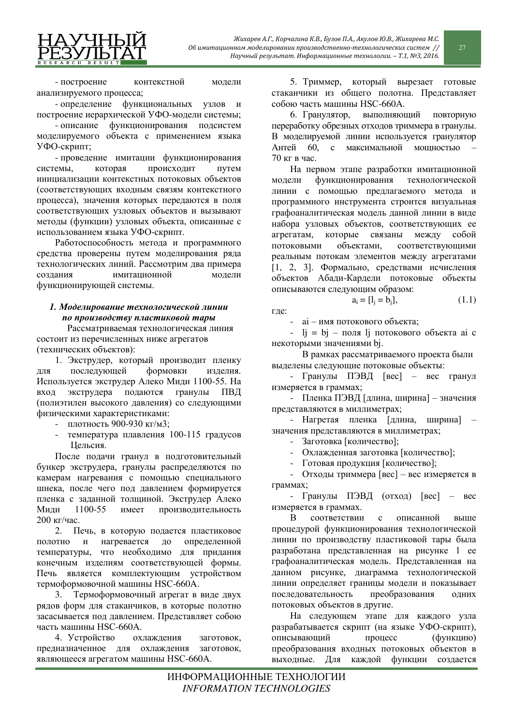

- построение контекстной модели анализируемого процесса;

- определение функциональных узлов и построение иерархической УФО-модели системы;

- описание функционирования подсистем моделируемого объекта с применением языка УФО-скрипт;

- проведение имитации функционирования системы, которая происходит путем инициализации контекстных потоковых объектов (соответствующих входным связям контекстного процесса), значения которых передаются в поля соответствующих узловых объектов и вызывают методы (функции) узловых объекта, описанные с использованием языка УФО-скрипт.

Работоспособность метода и программного средства проверены путем моделирования ряда технологических линий. Рассмотрим два примера создания имитационной модели функционирующей системы.

# $I.$  Моделирование технологической линии по производству пластиковой тары

Рассматриваемая технологическая линия состоит из перечисленных ниже агрегатов (технических объектов):

1. Экструдер, который производит пленку для последующей формовки изделия. Используется экструдер Алеко Миди 1100-55. На вход экструдера подаются гранулы ПВД (полиэтилен высокого давления) со следующими физическими характеристиками:

- плотность 900-930 кг/м3;
- температура плавления 100-115 градусов Цельсия.

После подачи гранул в подготовительный бункер экструдера, гранулы распределяются по камерам нагревания с помощью специального шнека, после чего под давлением формируется пленка с заданной толщиной. Экструдер Алеко Миди 1100-55 имеет производительность  $200$  κ $r$ /час.

2. Печь, в которую подается пластиковое полотно и нагревается до определенной температуры, что необходимо для придания конечным изделиям соответствующей формы. Печь является комплектующим устройством термоформовочной машины HSC-660A.

3. Термоформовочный агрегат в виде двух рядов форм для стаканчиков, в которые полотно засасывается под давлением. Представляет собою часть машины HSC-660A.

4. Устройство охлаждения заготовок, предназначенное для охлаждения заготовок, являющееся агрегатом машины HSC-660A.

5. Триммер, который вырезает готовые стаканчики из общего полотна. Представляет собою часть машины HSC-660A.

6. Гранулятор, выполняющий повторную переработку обрезных отходов триммера в гранулы. В моделируемой линии используется гранулятор Антей 60, с максимальной мошностью  $70 \text{ кг в час.}$ 

На первом этапе разработки имитационной модели функционирования технологической линии с помощью предлагаемого метода и программного инструмента строится визуальная графоаналитическая модель данной линии в виде набора узловых объектов, соответствующих ее агрегатам, которые связаны между собой потоковыми объектами, соответствующими реальным потокам элементов между агрегатами  $[1, 2, 3]$ . Формально, средствами исчисления объектов Абади-Кардели потоковые объекты описываются следующим образом:

$$
a_i = [l_j = b_j],
$$
 (1.1)

где:

- ai – имя потокового объекта;

 $-$  lj = bj – поля lj потокового объекта ai c некоторыми значениями bj.

В рамках рассматриваемого проекта были выделены следующие потоковые объекты:

- Гранулы ПЭВД [вес] – вес гранул измеряется в граммах;

- Пленка ПЭВД [длина, ширина] – значения представляются в миллиметрах;

- Нагретая пленка [длина, ширина] – значения представляются в миллиметрах;

- Заготовка [количество];

Охлажденная заготовка [количество];

- Готовая продукция [количество];

- Отходы триммера [вес] – вес измеряется в граммах;

- Гранулы ПЭВД (отход) [вес] – вес измеряется в граммах.

В соответствии с описанной выше процедурой функционирования технологической линии по производству пластиковой тары была разработана представленная на рисунке 1 ее графоаналитическая модель. Представленная на данном рисунке, диаграмма технологической линии определяет границы модели и показывает последовательность преобразования одних потоковых объектов в другие.

На следующем этапе для каждого узла разрабатывается скрипт (на языке УФО-скрипт), описывающий процесс (функцию) преобразования входных потоковых объектов в выходные. Для каждой функции создается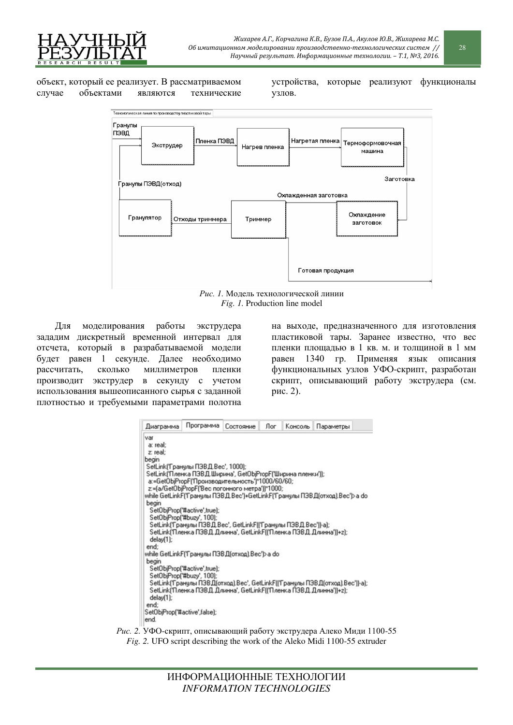

объект, который ее реализует. В рассматриваемом случае объектами являются технические

устройства, которые реализуют функционалы үзлов.



Рис. 1. Модель технологической линии *Fig. 1.* Production line model

Для моделирования работы экструдера зададим дискретный временной интервал для отсчета, который в разрабатываемой модели будет равен 1 секунде. Далее необходимо рассчитать, сколько миллиметров пленки производит экструдер в секунду с учетом использования вышеописанного сырья с заданной плотностью и требуемыми параметрами полотна

на выходе, предназначенного для изготовления пластиковой тары. Заранее известно, что вес пленки плошалью в 1 кв. м. и толшиной в 1 мм равен 1340 гр. Применяя язык описания функциональных узлов УФО-скрипт, разработан скрипт, описывающий работу экструдера (см. p<sub>HC</sub>. 2).



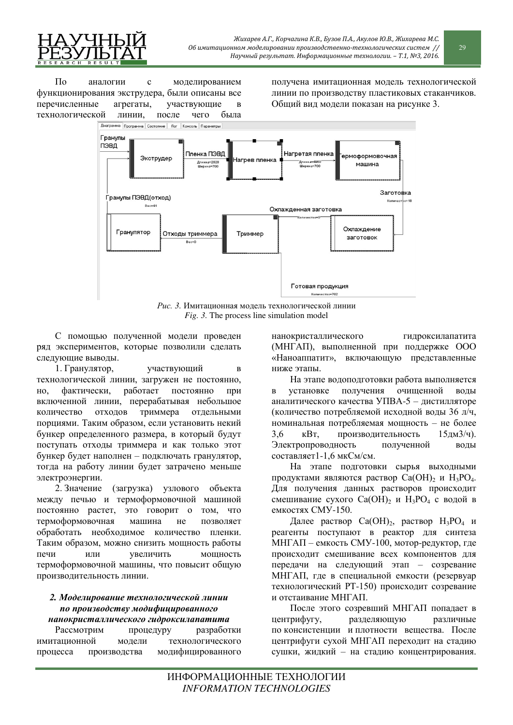По аналогии с моделированием функционирования экструдера, были описаны все перечисленные агрегаты, участвующие в технологической линии, после чего была получена имитационная модель технологической линии по производству пластиковых стаканчиков. Общий вид модели показан на рисунке 3.



Рис. 3. Имитационная модель технологической линии *Fig. 3.* The process line simulation model

С помощью полученной модели проведен ряд экспериментов, которые позволили сделать следующие выводы.

1. Гранулятор, участвующий в технологической линии, загружен не постоянно, но, фактически, работает постоянно при включенной линии, перерабатывая небольшое количество отходов триммера отдельными порциями. Таким образом, если установить некий бункер определенного размера, в который будут поступать отходы триммера и как только этот бункер будет наполнен – подключать гранулятор, тогда на работу линии будет затрачено меньше электроэнергии.

2. Значение (загрузка) узлового объекта между печью и термоформовочной машиной постоянно растет, это говорит о том, что термоформовочная машина не позволяет обработать необходимое количество пленки. Таким образом, можно снизить мощность работы печи или увеличить мощность термоформовочной машины, что повысит общую производительность линии.

#### $2.$  Моделирование технологической линии по производству модифицированного **нанокристаллического гидроксилапатита**

Рассмотрим процедуру разработки имитационной модели технологического процесса производства модифицированного

нанокристаллического гидроксилапатита (МНГАП), выполненной при поддержке ООО «Наноаппатит», включающую представленные ниже этапы.

На этапе водоподготовки работа выполняется в установке получения очищенной воды аналитического качества УПВА-5 – листилляторе (количество потребляемой исходной воды 36 л/ч, номинальная потребляемая мощность – не более 3,6 кВт, производительность 15дм3/ч). Электропроводность полученной воды составляет1-1,6 мкСм/см.

На этапе подготовки сырья выходными продуктами являются раствор  $Ca(OH)$ , и  $H_3PO_4$ . Для получения данных растворов происходит смешивание сухого Ca(OH)<sub>2</sub> и H<sub>3</sub>PO<sub>4</sub> с водой в емкостях СМУ-150.

Далее раствор  $Ca(OH)_2$ , раствор  $H_3PO_4$  и реагенты поступают в реактор для синтеза МНГАП – емкость СМУ-100, мотор-редуктор, где происходит смешивание всех компонентов для передачи на следующий этап – созревание МНГАП, где в специальной емкости (резервуар технологический РТ-150) происходит созревание и отстаивание МНГАП.

После этого созревший МНГАП попадает в центрифугу, разделяющую различные по консистенции и плотности вещества. После центрифуги сухой МНГАП переходит на стадию сушки, жидкий – на стадию концентрирования.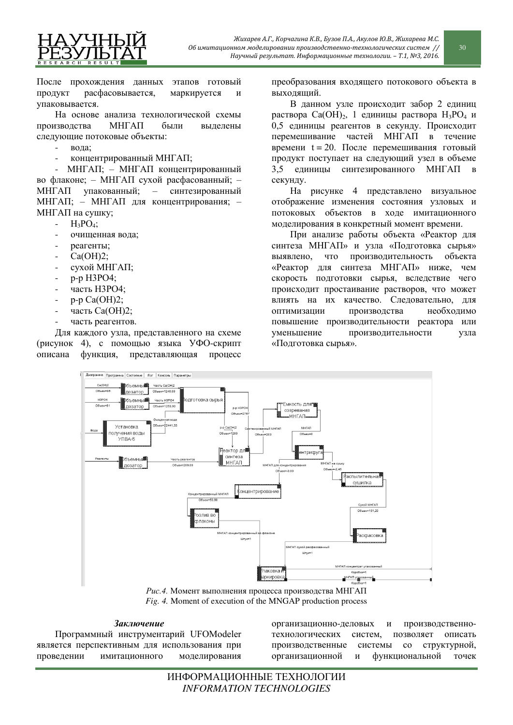

После прохождения данных этапов готовый продукт расфасовывается, маркируется и упаковывается.

На основе анализа технологической схемы производства МНГАП были выделены следующие потоковые объекты:

- $\overline{B}$   $\overline{O}$   $\overline{A}$   $\overline{B}$
- концентрированный МНГАП;

МНГАП; – МНГАП концентрированный во флаконе; – МНГАП сухой расфасованный; -МНГАП упакованный; – синтезированный МНГАП; – МНГАП для концентрирования; – МНГАП на сушку;

- $-H_3PO_4;$
- очищенная вода;
- реагенты;
- $Ca(OH)2;$
- сухой МНГАП;
- p-p H3PO4;
- часть НЗРО4:
- $p-p$   $Ca(OH)2$ ;
- часть Ca(OH)2;
- часть реагентов.

Для каждого узла, представленного на схеме (рисунок 4), с помощью языка УФО-скрипт описана функция, представляющая процесс

преобразования входящего потокового объекта в выхоляший.

В данном узле происходит забор 2 единиц раствора Са(ОН)<sub>2</sub>, 1 единицы раствора Н<sub>3</sub>РО<sub>4</sub> и 0,5 единицы реагентов в секунду. Происходит перемешивание частей МНГАП в течение времени  $t = 20$ . После перемешивания готовый продукт поступает на следующий узел в объеме 3,5 единицы синтезированного МНГАП в секунду.

На рисунке 4 представлено визуальное отображение изменения состояния узловых и потоковых объектов в ходе имитационного моделирования в конкретный момент времени.

При анализе работы объекта «Реактор для синтеза МНГАП» и узла «Подготовка сырья» выявлено, что производительность объекта «Реактор для синтеза МНГАП» ниже, чем скорость подготовки сырья, вследствие чего происходит простаивание растворов, что может влиять на их качество. Следовательно, для оптимизации производства необходимо повышение производительности реактора или уменьшение производительности узла «Подготовка сырья».



Рис.4. Момент выполнения процесса производства МНГАП *Fig. 4.* Moment of execution of the MNGAP production process

#### Заключение

Программный инструментарий UFOModeler является перспективным для использования при проведении имитационного моделирования

организационно-деловых и производственнотехнологических систем, позволяет описать производственные системы со структурной, организационной и функциональной точек